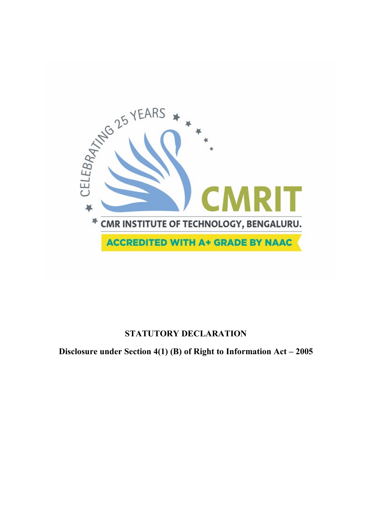

# **STATUTORY DECLARATION**

**Disclosure under Section 4(1) (B) of Right to Information Act – 2005**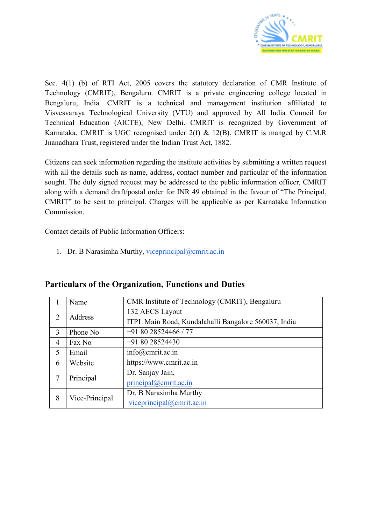

Sec. 4(1) (b) of RTI Act, 2005 covers the statutory declaration of CMR Institute of Technology (CMRIT), Bengaluru. CMRIT is a private engineering college located in Bengaluru, India. CMRIT is a technical and management institution affiliated to Visvesvaraya Technological University (VTU) and approved by All India Council for Technical Education (AICTE), New Delhi. CMRIT is recognized by Government of Karnataka. CMRIT is UGC recognised under 2(f) & 12(B). CMRIT is manged by C.M.R Jnanadhara Trust, registered under the Indian Trust Act, 1882.

Citizens can seek information regarding the institute activities by submitting a written request with all the details such as name, address, contact number and particular of the information sought. The duly signed request may be addressed to the public information officer, CMRIT along with a demand draft/postal order for INR 49 obtained in the favour of "The Principal, CMRIT" to be sent to principal. Charges will be applicable as per Karnataka Information Commission.

Contact details of Public Information Officers:

1. Dr. B Narasimha Murthy, [viceprincipal@cmrit.ac.in](mailto:viceprincipal@cmrit.ac.in)

|                | Name           | CMR Institute of Technology (CMRIT), Bengaluru       |
|----------------|----------------|------------------------------------------------------|
| 2              | Address        | 132 AECS Layout                                      |
|                |                | ITPL Main Road, Kundalahalli Bangalore 560037, India |
| 3              | Phone No       | $+918028524466/77$                                   |
| $\overline{4}$ | Fax No         | $+918028524430$                                      |
| 5              | Email          | info@cmrit.ac.in                                     |
| 6              | Website        | https://www.cmrit.ac.in                              |
| 7              | Principal      | Dr. Sanjay Jain,                                     |
|                |                | $principal(\widehat{a})$ cmrit.ac.in                 |
| 8              | Vice-Principal | Dr. B Narasimha Murthy                               |
|                |                | viceprincipal $@cmrit.ac.in$                         |

#### **Particulars of the Organization, Functions and Duties**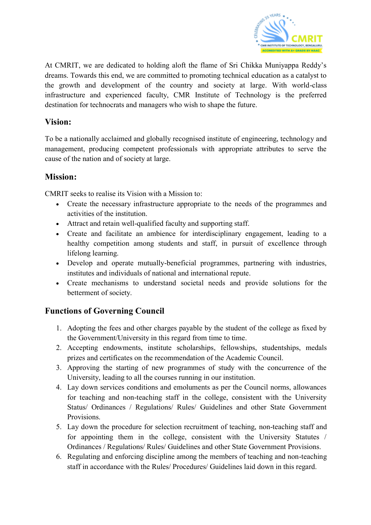

At CMRIT, we are dedicated to holding aloft the flame of Sri Chikka Muniyappa Reddy's dreams. Towards this end, we are committed to promoting technical education as a catalyst to the growth and development of the country and society at large. With world-class infrastructure and experienced faculty, CMR Institute of Technology is the preferred destination for technocrats and managers who wish to shape the future.

### **Vision:**

To be a nationally acclaimed and globally recognised institute of engineering, technology and management, producing competent professionals with appropriate attributes to serve the cause of the nation and of society at large.

### **Mission:**

CMRIT seeks to realise its Vision with a Mission to:

- Create the necessary infrastructure appropriate to the needs of the programmes and activities of the institution.
- Attract and retain well-qualified faculty and supporting staff.
- Create and facilitate an ambience for interdisciplinary engagement, leading to a healthy competition among students and staff, in pursuit of excellence through lifelong learning.
- Develop and operate mutually-beneficial programmes, partnering with industries, institutes and individuals of national and international repute.
- Create mechanisms to understand societal needs and provide solutions for the betterment of society.

# **Functions of Governing Council**

- 1. Adopting the fees and other charges payable by the student of the college as fixed by the Government/University in this regard from time to time.
- 2. Accepting endowments, institute scholarships, fellowships, studentships, medals prizes and certificates on the recommendation of the Academic Council.
- 3. Approving the starting of new programmes of study with the concurrence of the University, leading to all the courses running in our institution.
- 4. Lay down services conditions and emoluments as per the Council norms, allowances for teaching and non-teaching staff in the college, consistent with the University Status/ Ordinances / Regulations/ Rules/ Guidelines and other State Government Provisions.
- 5. Lay down the procedure for selection recruitment of teaching, non-teaching staff and for appointing them in the college, consistent with the University Statutes / Ordinances / Regulations/ Rules/ Guidelines and other State Government Provisions.
- 6. Regulating and enforcing discipline among the members of teaching and non-teaching staff in accordance with the Rules/ Procedures/ Guidelines laid down in this regard.